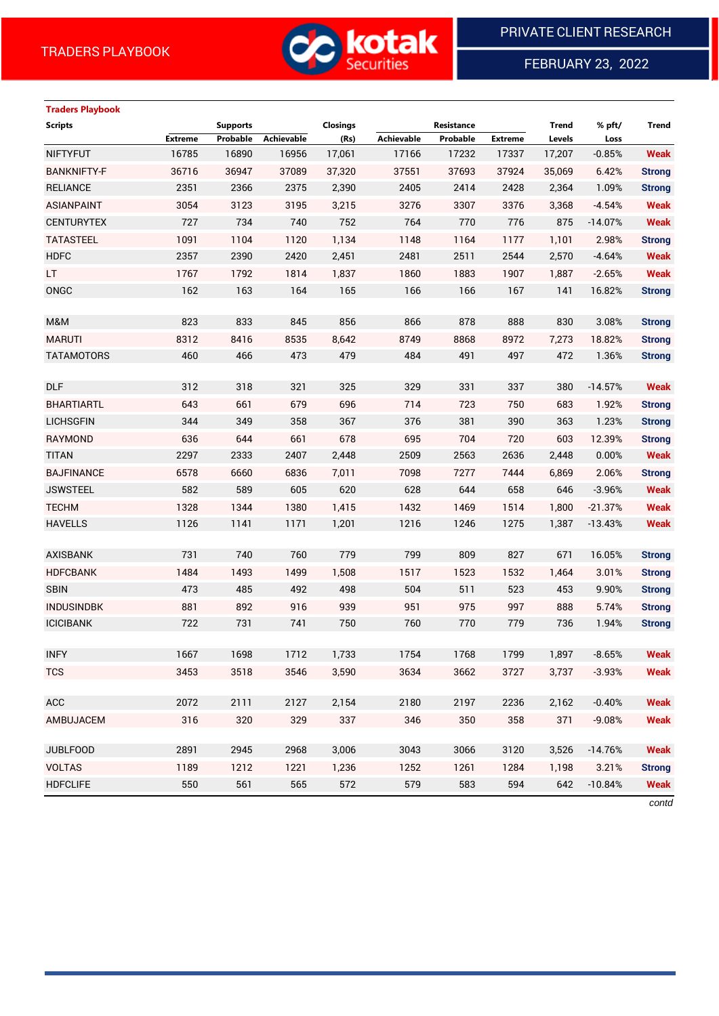

FEBRUARY 23, 2022

# **Traders Playbook**

| <b>Scripts</b>     |         | <b>Supports</b> |            | <b>Closings</b> |            | Resistance |                | <b>Trend</b> | % pft/    | <b>Trend</b>  |
|--------------------|---------|-----------------|------------|-----------------|------------|------------|----------------|--------------|-----------|---------------|
|                    | Extreme | Probable        | Achievable | (Rs)            | Achievable | Probable   | <b>Extreme</b> | Levels       | Loss      |               |
| <b>NIFTYFUT</b>    | 16785   | 16890           | 16956      | 17,061          | 17166      | 17232      | 17337          | 17,207       | $-0.85%$  | <b>Weak</b>   |
| <b>BANKNIFTY-F</b> | 36716   | 36947           | 37089      | 37,320          | 37551      | 37693      | 37924          | 35,069       | 6.42%     | <b>Strong</b> |
| <b>RELIANCE</b>    | 2351    | 2366            | 2375       | 2,390           | 2405       | 2414       | 2428           | 2,364        | 1.09%     | <b>Strong</b> |
| <b>ASIANPAINT</b>  | 3054    | 3123            | 3195       | 3,215           | 3276       | 3307       | 3376           | 3,368        | $-4.54%$  | <b>Weak</b>   |
| <b>CENTURYTEX</b>  | 727     | 734             | 740        | 752             | 764        | 770        | 776            | 875          | $-14.07%$ | <b>Weak</b>   |
| <b>TATASTEEL</b>   | 1091    | 1104            | 1120       | 1,134           | 1148       | 1164       | 1177           | 1,101        | 2.98%     | <b>Strong</b> |
| <b>HDFC</b>        | 2357    | 2390            | 2420       | 2,451           | 2481       | 2511       | 2544           | 2,570        | $-4.64%$  | <b>Weak</b>   |
| LT.                | 1767    | 1792            | 1814       | 1,837           | 1860       | 1883       | 1907           | 1,887        | $-2.65%$  | <b>Weak</b>   |
| ONGC               | 162     | 163             | 164        | 165             | 166        | 166        | 167            | 141          | 16.82%    | <b>Strong</b> |
|                    |         |                 |            |                 |            |            |                |              |           |               |
| M&M                | 823     | 833             | 845        | 856             | 866        | 878        | 888            | 830          | 3.08%     | <b>Strong</b> |
| <b>MARUTI</b>      | 8312    | 8416            | 8535       | 8,642           | 8749       | 8868       | 8972           | 7,273        | 18.82%    | <b>Strong</b> |
| <b>TATAMOTORS</b>  | 460     | 466             | 473        | 479             | 484        | 491        | 497            | 472          | 1.36%     | <b>Strong</b> |
|                    |         |                 |            |                 |            |            |                |              |           |               |
| <b>DLF</b>         | 312     | 318             | 321        | 325             | 329        | 331        | 337            | 380          | $-14.57%$ | <b>Weak</b>   |
| <b>BHARTIARTL</b>  | 643     | 661             | 679        | 696             | 714        | 723        | 750            | 683          | 1.92%     | <b>Strong</b> |
| <b>LICHSGFIN</b>   | 344     | 349             | 358        | 367             | 376        | 381        | 390            | 363          | 1.23%     | <b>Strong</b> |
| <b>RAYMOND</b>     | 636     | 644             | 661        | 678             | 695        | 704        | 720            | 603          | 12.39%    | <b>Strong</b> |
| <b>TITAN</b>       | 2297    | 2333            | 2407       | 2,448           | 2509       | 2563       | 2636           | 2,448        | 0.00%     | <b>Weak</b>   |
| <b>BAJFINANCE</b>  | 6578    | 6660            | 6836       | 7,011           | 7098       | 7277       | 7444           | 6,869        | 2.06%     | <b>Strong</b> |
| <b>JSWSTEEL</b>    | 582     | 589             | 605        | 620             | 628        | 644        | 658            | 646          | $-3.96%$  | <b>Weak</b>   |
| <b>TECHM</b>       | 1328    | 1344            | 1380       | 1,415           | 1432       | 1469       | 1514           | 1,800        | $-21.37%$ | <b>Weak</b>   |
| <b>HAVELLS</b>     | 1126    | 1141            | 1171       | 1,201           | 1216       | 1246       | 1275           | 1,387        | $-13.43%$ | <b>Weak</b>   |
|                    |         |                 |            |                 |            |            |                |              |           |               |
| <b>AXISBANK</b>    | 731     | 740             | 760        | 779             | 799        | 809        | 827            | 671          | 16.05%    | <b>Strong</b> |
| <b>HDFCBANK</b>    | 1484    | 1493            | 1499       | 1,508           | 1517       | 1523       | 1532           | 1,464        | 3.01%     | <b>Strong</b> |
| <b>SBIN</b>        | 473     | 485             | 492        | 498             | 504        | 511        | 523            | 453          | 9.90%     | <b>Strong</b> |
| <b>INDUSINDBK</b>  | 881     | 892             | 916        | 939             | 951        | 975        | 997            | 888          | 5.74%     | <b>Strong</b> |
| <b>ICICIBANK</b>   | 722     | 731             | 741        | 750             | 760        | 770        | 779            | 736          | 1.94%     | <b>Strong</b> |
|                    |         |                 |            |                 |            |            |                |              |           |               |
| <b>INFY</b>        | 1667    | 1698            | 1712       | 1,733           | 1754       | 1768       | 1799           | 1,897        | $-8.65%$  | Weak          |
| <b>TCS</b>         | 3453    | 3518            | 3546       | 3,590           | 3634       | 3662       | 3727           | 3,737        | $-3.93%$  | <b>Weak</b>   |
| ACC                | 2072    | 2111            | 2127       | 2,154           | 2180       | 2197       | 2236           | 2,162        | $-0.40%$  | <b>Weak</b>   |
| AMBUJACEM          | 316     | 320             | 329        | 337             | 346        | 350        | 358            | 371          | $-9.08%$  | <b>Weak</b>   |
|                    |         |                 |            |                 |            |            |                |              |           |               |
| <b>JUBLFOOD</b>    | 2891    | 2945            | 2968       | 3,006           | 3043       | 3066       | 3120           | 3,526        | $-14.76%$ | <b>Weak</b>   |
| <b>VOLTAS</b>      | 1189    | 1212            | 1221       | 1,236           | 1252       | 1261       | 1284           | 1,198        | 3.21%     | <b>Strong</b> |
| <b>HDFCLIFE</b>    | 550     | 561             | 565        | 572             | 579        | 583        | 594            | 642          | $-10.84%$ | <b>Weak</b>   |

*contd*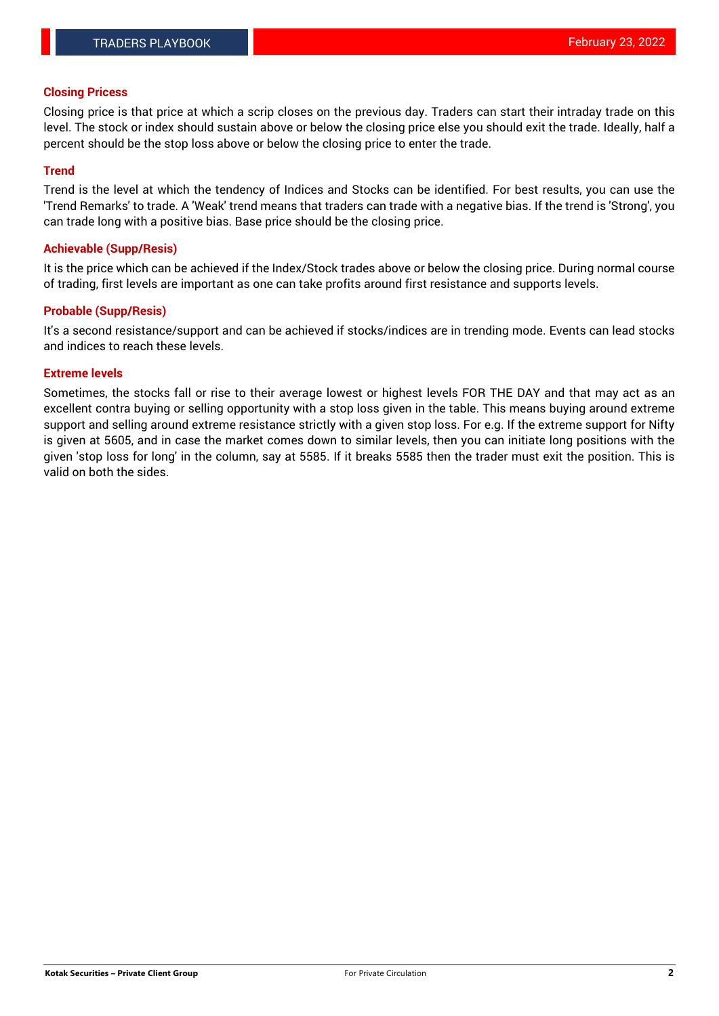### **Closing Pricess**

Closing price is that price at which a scrip closes on the previous day. Traders can start their intraday trade on this level. The stock or index should sustain above or below the closing price else you should exit the trade. Ideally, half a percent should be the stop loss above or below the closing price to enter the trade.

## **Trend**

Trend is the level at which the tendency of Indices and Stocks can be identified. For best results, you can use the 'Trend Remarks' to trade. A 'Weak' trend means that traders can trade with a negative bias. If the trend is 'Strong', you can trade long with a positive bias. Base price should be the closing price.

#### **Achievable (Supp/Resis)**

It is the price which can be achieved if the Index/Stock trades above or below the closing price. During normal course of trading, first levels are important as one can take profits around first resistance and supports levels.

## **Probable (Supp/Resis)**

It's a second resistance/support and can be achieved if stocks/indices are in trending mode. Events can lead stocks and indices to reach these levels.

#### **Extreme levels**

Sometimes, the stocks fall or rise to their average lowest or highest levels FOR THE DAY and that may act as an excellent contra buying or selling opportunity with a stop loss given in the table. This means buying around extreme support and selling around extreme resistance strictly with a given stop loss. For e.g. If the extreme support for Nifty is given at 5605, and in case the market comes down to similar levels, then you can initiate long positions with the given 'stop loss for long' in the column, say at 5585. If it breaks 5585 then the trader must exit the position. This is valid on both the sides.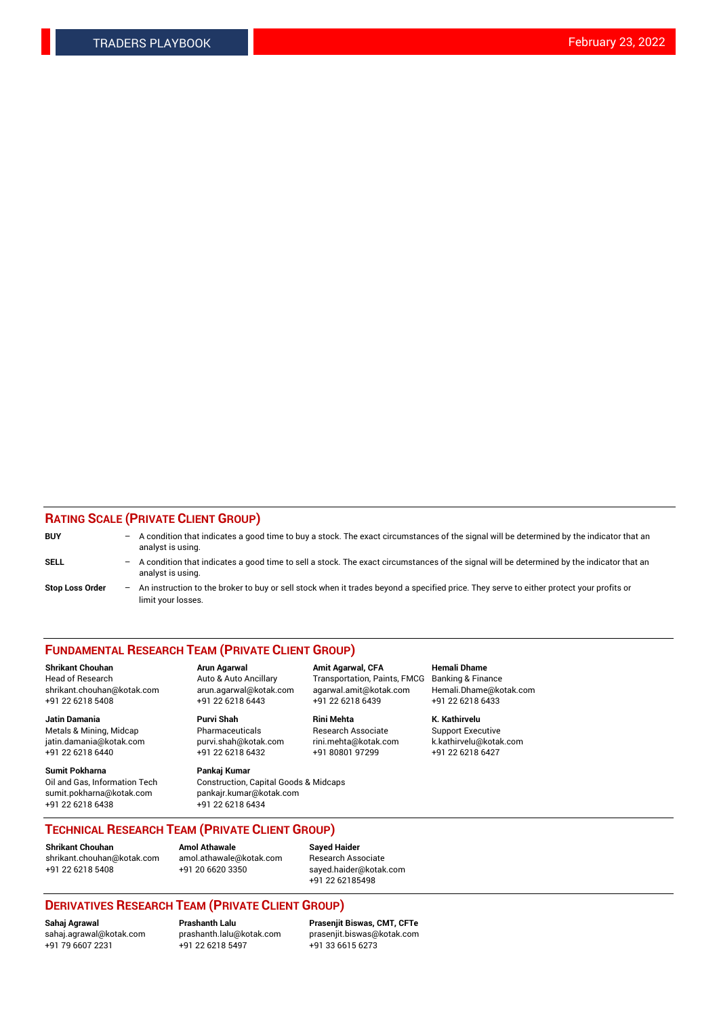## **RATING SCALE (PRIVATE CLIENT GROUP)**

| <b>BUY</b>             | -                 | A condition that indicates a good time to buy a stock. The exact circumstances of the signal will be determined by the indicator that an<br>analyst is using.  |
|------------------------|-------------------|----------------------------------------------------------------------------------------------------------------------------------------------------------------|
| <b>SELL</b>            | $ \,$             | A condition that indicates a good time to sell a stock. The exact circumstances of the signal will be determined by the indicator that an<br>analyst is using. |
| <b>Stop Loss Order</b> | $\qquad \qquad -$ | An instruction to the broker to buy or sell stock when it trades beyond a specified price. They serve to either protect your profits or<br>limit your losses.  |

#### **FUNDAMENTAL RESEARCH TEAM (PRIVATE CLIENT GROUP)**

**Jatin Damania Purvi Shah Rini Mehta K. Kathirvelu** Metals & Mining, Midcap **Pharmaceuticals** Research Associate Support Executive jatin.damania@kotak.com [purvi.shah@kotak.com](mailto:purvi.shah@kotak.com) rini.mehta@kotak.com [k.kathirvelu@kotak.com](mailto:k.kathirvelu@kotak.com)  $+91$  22 6218 6440  $+91$  22 6218 6432

**Sumit Pokharna Pankaj Kumar** sumit.pokharna@kotak.com pankajr.kumar@kotak.com +91 22 6218 6438 +91 22 6218 6434

**Shrikant Chouhan Arun Agarwal Amit Agarwal, CFA Hemali Dhame**

Oil and Gas, Information Tech Construction, Capital Goods & Midcaps

Head of Research Auto & Auto Ancillary Transportation, Paints, FMCG Banking & Finance shrikant.chouhan@kotak.com arun.agarwal@kotak.com agarwal.amit@kotak.com Hemali.Dhame@kotak.com +91 22 6218 5408 +91 22 6218 6443 +91 22 6218 6439 +91 22 6218 6433

**TECHNICAL RESEARCH TEAM (PRIVATE CLIENT GROUP)**

**Shrikant Chouhan Amol Athawale Sayed Haider** [shrikant.chouhan@kotak.com](mailto:shrikant.chouhan@kotak.com) [amol.athawale@kotak.com](mailto:amol.athawale@kotak.com) Research Associate +91 22 6218 5408 +91 20 6620 3350 [sayed.haider@kotak.com](mailto:sayed.haider@kotak.com)

+91 22 62185498

# **DERIVATIVES RESEARCH TEAM (PRIVATE CLIENT GROUP)**

 $+91$  22 6218 5497

**Sahaj Agrawal Prashanth Lalu Prasenjit Biswas, CMT, CFTe** [sahaj.agrawal@kotak.com](mailto:sahaj.agrawal@kotak.com) [prashanth.lalu@kotak.com](mailto:prashanth.lalu@kotak.com) [prasenjit.biswas@kotak.com](mailto:prasenjit.biswas@kotak.com)